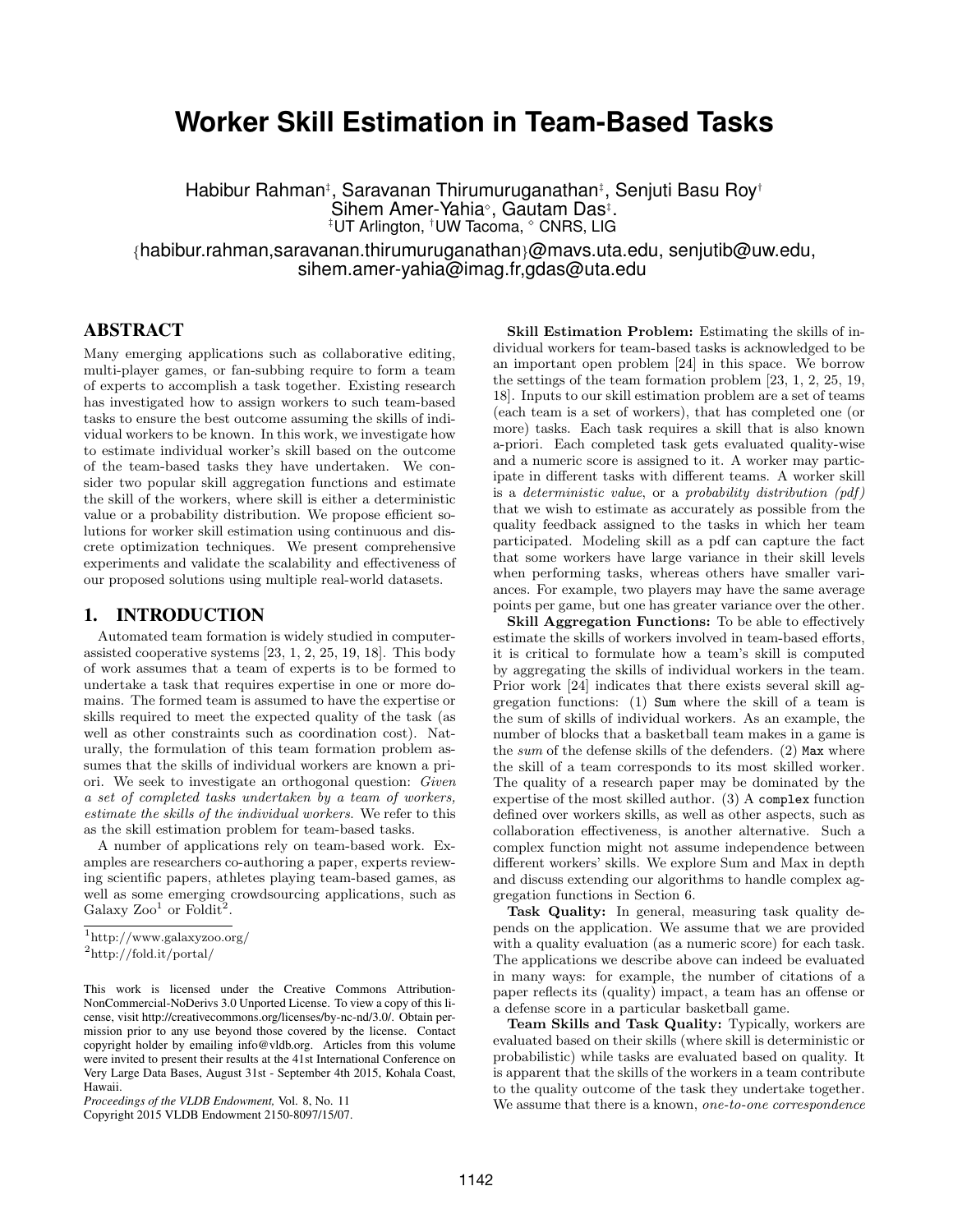# **Worker Skill Estimation in Team-Based Tasks**

Habibur Rahman‡ , Saravanan Thirumuruganathan‡ , Senjuti Basu Roy† Sihem Amer-Yahia<sup>®</sup>, Gautam Das<sup>‡</sup>. ‡UT Arlington, †UW Tacoma, CNRS, LIG

{habibur.rahman,saravanan.thirumuruganathan}@mavs.uta.edu, senjutib@uw.edu, sihem.amer-yahia@imag.fr,gdas@uta.edu

# ABSTRACT

Many emerging applications such as collaborative editing, multi-player games, or fan-subbing require to form a team of experts to accomplish a task together. Existing research has investigated how to assign workers to such team-based tasks to ensure the best outcome assuming the skills of individual workers to be known. In this work, we investigate how to estimate individual worker's skill based on the outcome of the team-based tasks they have undertaken. We consider two popular skill aggregation functions and estimate the skill of the workers, where skill is either a deterministic value or a probability distribution. We propose efficient solutions for worker skill estimation using continuous and discrete optimization techniques. We present comprehensive experiments and validate the scalability and effectiveness of our proposed solutions using multiple real-world datasets.

## 1. INTRODUCTION

Automated team formation is widely studied in computerassisted cooperative systems [23, 1, 2, 25, 19, 18]. This body of work assumes that a team of experts is to be formed to undertake a task that requires expertise in one or more domains. The formed team is assumed to have the expertise or skills required to meet the expected quality of the task (as well as other constraints such as coordination cost). Naturally, the formulation of this team formation problem assumes that the skills of individual workers are known a priori. We seek to investigate an orthogonal question: Given a set of completed tasks undertaken by a team of workers, estimate the skills of the individual workers. We refer to this as the skill estimation problem for team-based tasks.

A number of applications rely on team-based work. Examples are researchers co-authoring a paper, experts reviewing scientific papers, athletes playing team-based games, as well as some emerging crowdsourcing applications, such as Galaxy  $Zoo<sup>1</sup>$  or Foldit<sup>2</sup>.

Skill Estimation Problem: Estimating the skills of individual workers for team-based tasks is acknowledged to be an important open problem [24] in this space. We borrow the settings of the team formation problem [23, 1, 2, 25, 19, 18]. Inputs to our skill estimation problem are a set of teams (each team is a set of workers), that has completed one (or more) tasks. Each task requires a skill that is also known a-priori. Each completed task gets evaluated quality-wise and a numeric score is assigned to it. A worker may participate in different tasks with different teams. A worker skill is a deterministic value, or a probability distribution  $(pdf)$ that we wish to estimate as accurately as possible from the quality feedback assigned to the tasks in which her team participated. Modeling skill as a pdf can capture the fact that some workers have large variance in their skill levels when performing tasks, whereas others have smaller variances. For example, two players may have the same average points per game, but one has greater variance over the other.

Skill Aggregation Functions: To be able to effectively estimate the skills of workers involved in team-based efforts, it is critical to formulate how a team's skill is computed by aggregating the skills of individual workers in the team. Prior work [24] indicates that there exists several skill aggregation functions: (1) Sum where the skill of a team is the sum of skills of individual workers. As an example, the number of blocks that a basketball team makes in a game is the sum of the defense skills of the defenders. (2) Max where the skill of a team corresponds to its most skilled worker. The quality of a research paper may be dominated by the expertise of the most skilled author. (3) A complex function defined over workers skills, as well as other aspects, such as collaboration effectiveness, is another alternative. Such a complex function might not assume independence between different workers' skills. We explore Sum and Max in depth and discuss extending our algorithms to handle complex aggregation functions in Section 6.

Task Quality: In general, measuring task quality depends on the application. We assume that we are provided with a quality evaluation (as a numeric score) for each task. The applications we describe above can indeed be evaluated in many ways: for example, the number of citations of a paper reflects its (quality) impact, a team has an offense or a defense score in a particular basketball game.

Team Skills and Task Quality: Typically, workers are evaluated based on their skills (where skill is deterministic or probabilistic) while tasks are evaluated based on quality. It is apparent that the skills of the workers in a team contribute to the quality outcome of the task they undertake together. We assume that there is a known, one-to-one correspondence

<sup>1</sup> http://www.galaxyzoo.org/

<sup>2</sup> http://fold.it/portal/

This work is licensed under the Creative Commons Attribution-NonCommercial-NoDerivs 3.0 Unported License. To view a copy of this license, visit http://creativecommons.org/licenses/by-nc-nd/3.0/. Obtain permission prior to any use beyond those covered by the license. Contact copyright holder by emailing info@vldb.org. Articles from this volume were invited to present their results at the 41st International Conference on Very Large Data Bases, August 31st - September 4th 2015, Kohala Coast, Hawaii.

*Proceedings of the VLDB Endowment,* Vol. 8, No. 11

Copyright 2015 VLDB Endowment 2150-8097/15/07.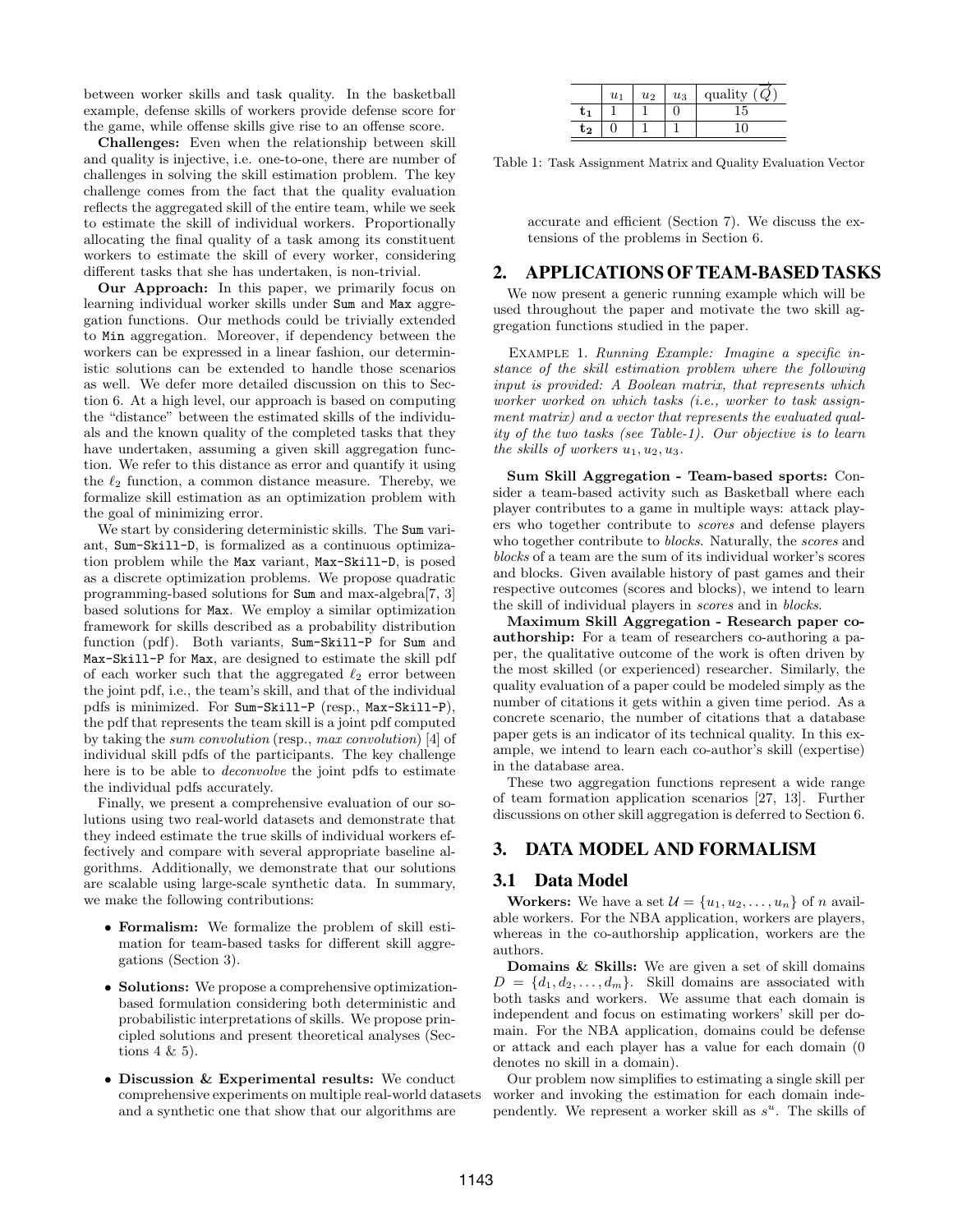between worker skills and task quality. In the basketball example, defense skills of workers provide defense score for the game, while offense skills give rise to an offense score.

Challenges: Even when the relationship between skill and quality is injective, i.e. one-to-one, there are number of challenges in solving the skill estimation problem. The key challenge comes from the fact that the quality evaluation reflects the aggregated skill of the entire team, while we seek to estimate the skill of individual workers. Proportionally allocating the final quality of a task among its constituent workers to estimate the skill of every worker, considering different tasks that she has undertaken, is non-trivial.

Our Approach: In this paper, we primarily focus on learning individual worker skills under Sum and Max aggregation functions. Our methods could be trivially extended to Min aggregation. Moreover, if dependency between the workers can be expressed in a linear fashion, our deterministic solutions can be extended to handle those scenarios as well. We defer more detailed discussion on this to Section 6. At a high level, our approach is based on computing the "distance" between the estimated skills of the individuals and the known quality of the completed tasks that they have undertaken, assuming a given skill aggregation function. We refer to this distance as error and quantify it using the  $\ell_2$  function, a common distance measure. Thereby, we formalize skill estimation as an optimization problem with the goal of minimizing error.

We start by considering deterministic skills. The Sum variant, Sum-Skill-D, is formalized as a continuous optimization problem while the Max variant, Max-Skill-D, is posed as a discrete optimization problems. We propose quadratic programming-based solutions for Sum and max-algebra[7, 3] based solutions for Max. We employ a similar optimization framework for skills described as a probability distribution function (pdf). Both variants, Sum-Skill-P for Sum and Max-Skill-P for Max, are designed to estimate the skill pdf of each worker such that the aggregated  $\ell_2$  error between the joint pdf, i.e., the team's skill, and that of the individual pdfs is minimized. For Sum-Skill-P (resp., Max-Skill-P), the pdf that represents the team skill is a joint pdf computed by taking the sum convolution (resp., max convolution) [4] of individual skill pdfs of the participants. The key challenge here is to be able to deconvolve the joint pdfs to estimate the individual pdfs accurately.

Finally, we present a comprehensive evaluation of our solutions using two real-world datasets and demonstrate that they indeed estimate the true skills of individual workers effectively and compare with several appropriate baseline algorithms. Additionally, we demonstrate that our solutions are scalable using large-scale synthetic data. In summary, we make the following contributions:

- Formalism: We formalize the problem of skill estimation for team-based tasks for different skill aggregations (Section 3).
- Solutions: We propose a comprehensive optimizationbased formulation considering both deterministic and probabilistic interpretations of skills. We propose principled solutions and present theoretical analyses (Sections  $4 \& 5$ ).
- Discussion & Experimental results: We conduct comprehensive experiments on multiple real-world datasets and a synthetic one that show that our algorithms are

|                | $u_1$ | $u_2$ | $u_3$ | quality |
|----------------|-------|-------|-------|---------|
| tı             |       |       |       |         |
| $\mathrm{t}_2$ |       |       |       |         |

Table 1: Task Assignment Matrix and Quality Evaluation Vector

accurate and efficient (Section 7). We discuss the extensions of the problems in Section 6.

# 2. APPLICATIONS OF TEAM-BASED TASKS

We now present a generic running example which will be used throughout the paper and motivate the two skill aggregation functions studied in the paper.

EXAMPLE 1. Running Example: Imagine a specific instance of the skill estimation problem where the following input is provided: A Boolean matrix, that represents which worker worked on which tasks (i.e., worker to task assignment matrix) and a vector that represents the evaluated quality of the two tasks (see Table-1). Our objective is to learn the skills of workers  $u_1, u_2, u_3$ .

Sum Skill Aggregation - Team-based sports: Consider a team-based activity such as Basketball where each player contributes to a game in multiple ways: attack players who together contribute to scores and defense players who together contribute to *blocks*. Naturally, the *scores* and blocks of a team are the sum of its individual worker's scores and blocks. Given available history of past games and their respective outcomes (scores and blocks), we intend to learn the skill of individual players in scores and in blocks.

Maximum Skill Aggregation - Research paper coauthorship: For a team of researchers co-authoring a paper, the qualitative outcome of the work is often driven by the most skilled (or experienced) researcher. Similarly, the quality evaluation of a paper could be modeled simply as the number of citations it gets within a given time period. As a concrete scenario, the number of citations that a database paper gets is an indicator of its technical quality. In this example, we intend to learn each co-author's skill (expertise) in the database area.

These two aggregation functions represent a wide range of team formation application scenarios [27, 13]. Further discussions on other skill aggregation is deferred to Section 6.

# 3. DATA MODEL AND FORMALISM

# 3.1 Data Model

**Workers:** We have a set  $\mathcal{U} = \{u_1, u_2, \dots, u_n\}$  of *n* available workers. For the NBA application, workers are players, whereas in the co-authorship application, workers are the authors.

Domains & Skills: We are given a set of skill domains  $D = \{d_1, d_2, \ldots, d_m\}$ . Skill domains are associated with both tasks and workers. We assume that each domain is independent and focus on estimating workers' skill per domain. For the NBA application, domains could be defense or attack and each player has a value for each domain (0 denotes no skill in a domain).

Our problem now simplifies to estimating a single skill per worker and invoking the estimation for each domain independently. We represent a worker skill as  $s^u$ . The skills of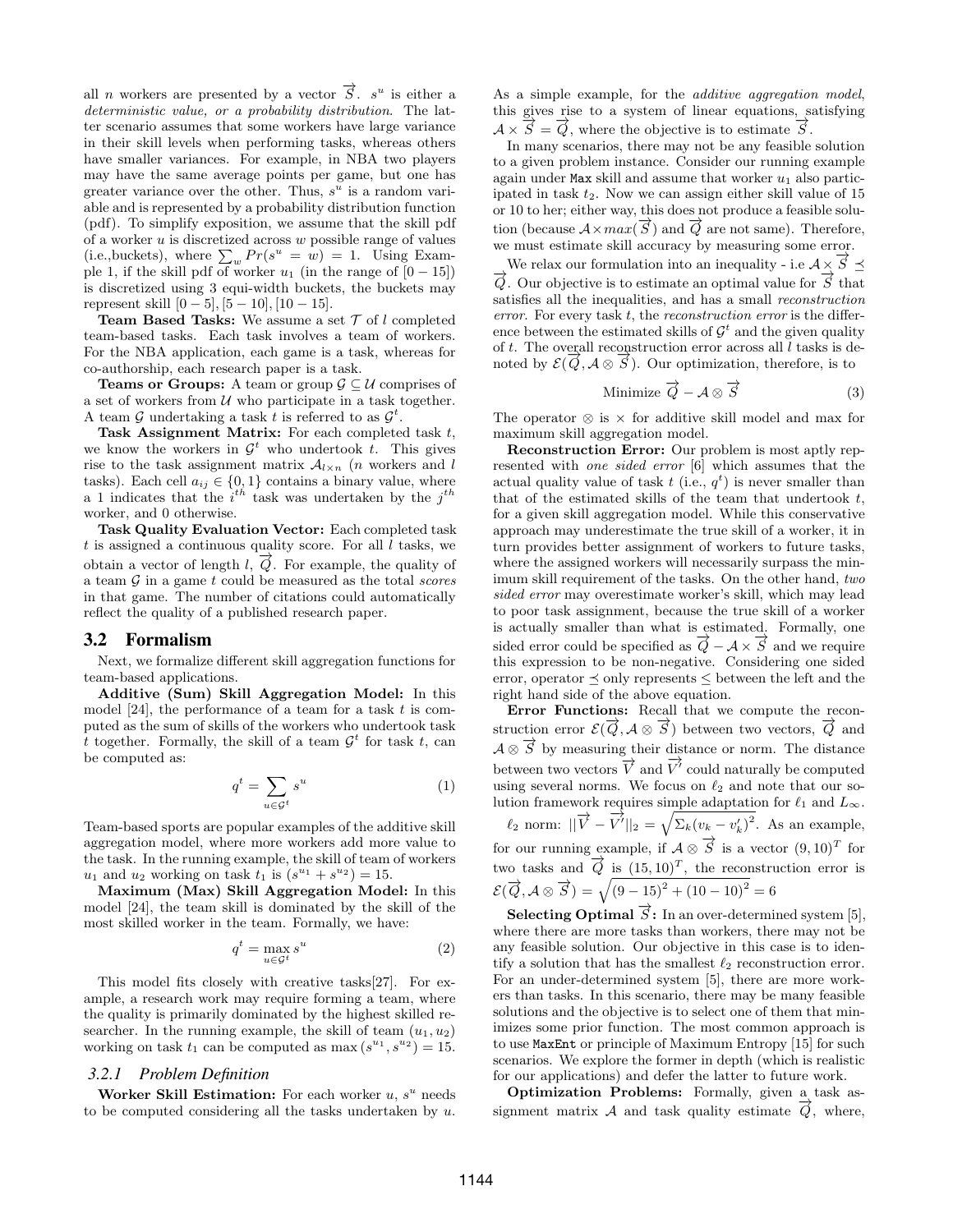all *n* workers are presented by a vector  $\overrightarrow{S}$ .  $s^u$  is either a deterministic value, or a probability distribution. The latter scenario assumes that some workers have large variance in their skill levels when performing tasks, whereas others have smaller variances. For example, in NBA two players may have the same average points per game, but one has greater variance over the other. Thus,  $s^u$  is a random variable and is represented by a probability distribution function (pdf). To simplify exposition, we assume that the skill pdf of a worker  $u$  is discretized across  $w$  possible range of values (i.e., buckets), where  $\sum_{w} Pr(s^u = w) = 1$ . Using Example 1, if the skill pdf of worker  $u_1$  (in the range of  $[0 - 15]$ ) is discretized using 3 equi-width buckets, the buckets may represent skill  $[0 - 5]$ ,  $[5 - 10]$ ,  $[10 - 15]$ .

**Team Based Tasks:** We assume a set  $\mathcal T$  of l completed team-based tasks. Each task involves a team of workers. For the NBA application, each game is a task, whereas for co-authorship, each research paper is a task.

**Teams or Groups:** A team or group  $\mathcal{G} \subseteq \mathcal{U}$  comprises of a set of workers from  $U$  who participate in a task together. A team  $\mathcal G$  undertaking a task t is referred to as  $\mathcal G^t$ .

Task Assignment Matrix: For each completed task  $t$ , we know the workers in  $\mathcal{G}^t$  who undertook t. This gives rise to the task assignment matrix  $A_{l \times n}$  (*n* workers and *l* tasks). Each cell  $a_{ij} \in \{0,1\}$  contains a binary value, where a 1 indicates that the  $i^{th}$  task was undertaken by the  $j^{th}$ worker, and 0 otherwise.

Task Quality Evaluation Vector: Each completed task  $t$  is assigned a continuous quality score. For all  $l$  tasks, we obtain a vector of length  $l$ ,  $\overrightarrow{Q}$ . For example, the quality of a team  $G$  in a game  $t$  could be measured as the total *scores* in that game. The number of citations could automatically reflect the quality of a published research paper.

# 3.2 Formalism

Next, we formalize different skill aggregation functions for team-based applications.

Additive (Sum) Skill Aggregation Model: In this model  $[24]$ , the performance of a team for a task t is computed as the sum of skills of the workers who undertook task t together. Formally, the skill of a team  $\mathcal{G}^t$  for task t, can be computed as:

$$
q^t = \sum_{u \in \mathcal{G}^t} s^u \tag{1}
$$

Team-based sports are popular examples of the additive skill aggregation model, where more workers add more value to the task. In the running example, the skill of team of workers  $u_1$  and  $u_2$  working on task  $t_1$  is  $(s^{u_1} + s^{u_2}) = 15$ .

Maximum (Max) Skill Aggregation Model: In this model [24], the team skill is dominated by the skill of the most skilled worker in the team. Formally, we have:

$$
q^t = \max_{u \in \mathcal{G}^t} s^u \tag{2}
$$

This model fits closely with creative tasks[27]. For example, a research work may require forming a team, where the quality is primarily dominated by the highest skilled researcher. In the running example, the skill of team  $(u_1, u_2)$ working on task  $t_1$  can be computed as max  $(s^{u_1}, s^{u_2}) = 15$ .

#### *3.2.1 Problem Definition*

Worker Skill Estimation: For each worker  $u, s^u$  needs to be computed considering all the tasks undertaken by  $u$ .

As a simple example, for the additive aggregation model, this gives rise to a system of linear equations, satisfying  $A \times \overrightarrow{S} = \overrightarrow{Q}$ , where the objective is to estimate  $\overrightarrow{S}$ .

In many scenarios, there may not be any feasible solution to a given problem instance. Consider our running example again under Max skill and assume that worker  $u_1$  also participated in task  $t_2$ . Now we can assign either skill value of 15 or 10 to her; either way, this does not produce a feasible solution (because  $A \times max(\vec{S})$  and  $\vec{Q}$  are not same). Therefore, we must estimate skill accuracy by measuring some error.

We relax our formulation into an inequality - i.e  $\mathcal{A} \times \overrightarrow{S} \preceq$  $\overrightarrow{Q}$ . Our objective is to estimate an optimal value for  $\overrightarrow{S}$  that satisfies all the inequalities, and has a small reconstruction error. For every task  $t$ , the reconstruction error is the difference between the estimated skills of  $\mathcal{G}^t$  and the given quality of  $t$ . The overall reconstruction error across all  $l$  tasks is deor  $\iota$ . The overall reconstruction error across an  $\iota$  tasks is denoted by  $\mathcal{E}(\vec{Q}, \mathcal{A} \otimes \vec{S})$ . Our optimization, therefore, is to

Minimize 
$$
\overrightarrow{Q} - A \otimes \overrightarrow{S}
$$
 (3)

The operator  $\otimes$  is  $\times$  for additive skill model and max for maximum skill aggregation model.

Reconstruction Error: Our problem is most aptly represented with one sided error [6] which assumes that the actual quality value of task  $t$  (i.e.,  $q<sup>t</sup>$ ) is never smaller than that of the estimated skills of the team that undertook  $t$ , for a given skill aggregation model. While this conservative approach may underestimate the true skill of a worker, it in turn provides better assignment of workers to future tasks, where the assigned workers will necessarily surpass the minimum skill requirement of the tasks. On the other hand, two sided error may overestimate worker's skill, which may lead to poor task assignment, because the true skill of a worker is actually smaller than what is estimated. Formally, one sided error could be specified as  $\overline{Q} - A \times \overline{S}$  and we require this expression to be non-negative. Considering one sided error, operator  $\preceq$  only represents  $\leq$  between the left and the right hand side of the above equation.

Error Functions: Recall that we compute the reconstruction error  $\mathcal{E}(\vec{Q}, A \otimes \vec{S})$  between two vectors,  $\vec{Q}$  and  $\mathcal{A} \otimes \overrightarrow{S}$  by measuring their distance or norm. The distance between two vectors  $\overrightarrow{V}$  and  $\overrightarrow{V}'$  could naturally be computed using several norms. We focus on  $\ell_2$  and note that our solution framework requires simple adaptation for  $\ell_1$  and  $L_\infty$ .  $\ell_2$  norm:  $\|\vec{V} - \vec{V'} \|_2 = \sqrt{\Sigma_k (v_k - v'_k)^2}$ . As an example, for our running example, if  $\mathcal{A} \otimes \overrightarrow{S}$  is a vector  $(9, 10)^T$  for two tasks and  $\vec{Q}$  is  $(15, 10)^T$ , the reconstruction error is  $\mathcal{E}(\vec{Q}, \mathcal{A} \otimes \vec{S}) = \sqrt{(9-15)^2 + (10-10)^2} = 6$ 

**Selecting Optimal**  $\overrightarrow{S}$ : In an over-determined system [5], where there are more tasks than workers, there may not be any feasible solution. Our objective in this case is to identify a solution that has the smallest  $\ell_2$  reconstruction error. For an under-determined system [5], there are more workers than tasks. In this scenario, there may be many feasible solutions and the objective is to select one of them that minimizes some prior function. The most common approach is to use MaxEnt or principle of Maximum Entropy [15] for such scenarios. We explore the former in depth (which is realistic for our applications) and defer the latter to future work.

Optimization Problems: Formally, given a task assignment matrix A and task quality estimate  $\vec{Q}$ , where,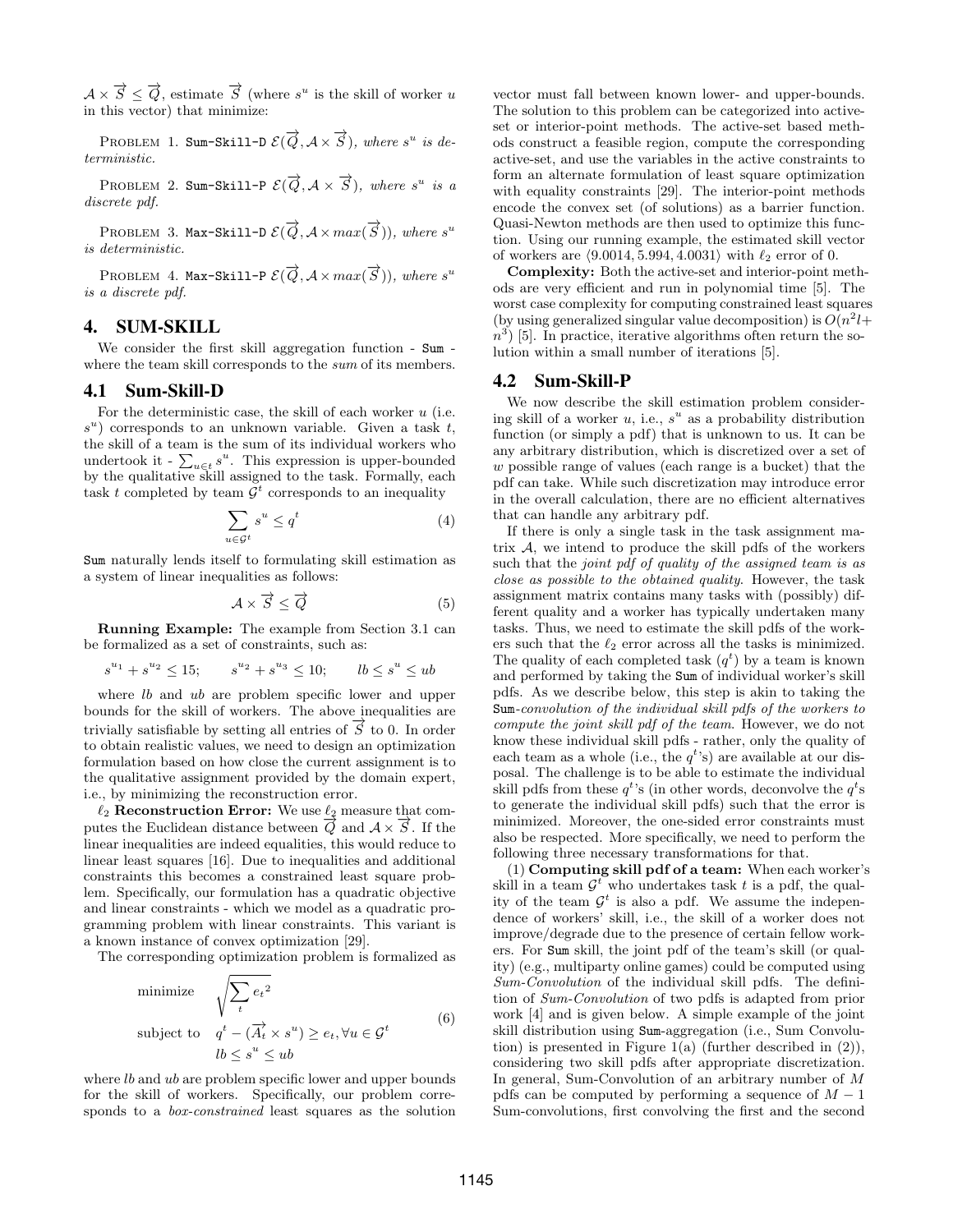$\mathcal{A} \times \overrightarrow{S} \leq \overrightarrow{Q}$ , estimate  $\overrightarrow{S}$  (where  $s^u$  is the skill of worker u in this vector) that minimize:

PROBLEM 1. Sum-Skill-D  $\mathcal{E}(\overrightarrow{Q}, A \times \overrightarrow{S})$ , where s<sup>u</sup> is deterministic.

PROBLEM 2. Sum-Skill-P  $\mathcal{E}(\overrightarrow{Q}, \mathcal{A} \times \overrightarrow{S})$ , where s<sup>u</sup> is a discrete pdf.

PROBLEM 3. Max-Skill-D  $\mathcal{E}(\overrightarrow{Q}, A \times max(\overrightarrow{S}))$ , where  $s^u$ is deterministic.

PROBLEM 4. Max-Skill-P  $\mathcal{E}(\overrightarrow{Q}, A \times max(\overrightarrow{S}))$ , where  $s^u$ is a discrete pdf.

# 4. SUM-SKILL

We consider the first skill aggregation function - Sum where the team skill corresponds to the sum of its members.

## 4.1 Sum-Skill-D

For the deterministic case, the skill of each worker  $u$  (i.e.  $s^u$ ) corresponds to an unknown variable. Given a task t, the skill of a team is the sum of its individual workers who undertook it -  $\sum_{u \in t} s^u$ . This expression is upper-bounded by the qualitative skill assigned to the task. Formally, each task t completed by team  $\mathcal{G}^t$  corresponds to an inequality

$$
\sum_{u \in \mathcal{G}^t} s^u \le q^t \tag{4}
$$

Sum naturally lends itself to formulating skill estimation as a system of linear inequalities as follows:

$$
\mathcal{A} \times \overrightarrow{S} \leq \overrightarrow{Q} \tag{5}
$$

Running Example: The example from Section 3.1 can be formalized as a set of constraints, such as:

$$
s^{u_1} + s^{u_2} \le 15; \qquad s^{u_2} + s^{u_3} \le 10; \qquad lb \le s^u \le ub
$$

where *lb* and *ub* are problem specific lower and upper bounds for the skill of workers. The above inequalities are trivially satisfiable by setting all entries of  $\overrightarrow{S}$  to 0. In order to obtain realistic values, we need to design an optimization formulation based on how close the current assignment is to the qualitative assignment provided by the domain expert, i.e., by minimizing the reconstruction error.

 $\ell_2$  Reconstruction Error: We use  $\ell_2$  measure that computes the Euclidean distance between  $\vec{Q}$  and  $A \times \vec{S}$ . If the linear inequalities are indeed equalities, this would reduce to linear least squares [16]. Due to inequalities and additional constraints this becomes a constrained least square problem. Specifically, our formulation has a quadratic objective and linear constraints - which we model as a quadratic programming problem with linear constraints. This variant is a known instance of convex optimization [29].

The corresponding optimization problem is formalized as

minimize 
$$
\sqrt{\sum_{t} e_t^2}
$$
  
\nsubject to  $q^t - (\overrightarrow{A_t} \times s^u) \ge e_t, \forall u \in \mathcal{G}^t$   
\n $lb \le s^u \le ub$  (6)

where *lb* and *ub* are problem specific lower and upper bounds for the skill of workers. Specifically, our problem corresponds to a *box-constrained* least squares as the solution

vector must fall between known lower- and upper-bounds. The solution to this problem can be categorized into activeset or interior-point methods. The active-set based methods construct a feasible region, compute the corresponding active-set, and use the variables in the active constraints to form an alternate formulation of least square optimization with equality constraints [29]. The interior-point methods encode the convex set (of solutions) as a barrier function. Quasi-Newton methods are then used to optimize this function. Using our running example, the estimated skill vector of workers are  $\langle 9.0014, 5.994, 4.0031 \rangle$  with  $\ell_2$  error of 0.

Complexity: Both the active-set and interior-point methods are very efficient and run in polynomial time [5]. The worst case complexity for computing constrained least squares (by using generalized singular value decomposition) is  $O(n^2l+$  $n^3$ ) [5]. In practice, iterative algorithms often return the solution within a small number of iterations [5].

#### 4.2 Sum-Skill-P

We now describe the skill estimation problem considering skill of a worker  $u$ , i.e.,  $s^u$  as a probability distribution function (or simply a pdf) that is unknown to us. It can be any arbitrary distribution, which is discretized over a set of w possible range of values (each range is a bucket) that the pdf can take. While such discretization may introduce error in the overall calculation, there are no efficient alternatives that can handle any arbitrary pdf.

If there is only a single task in the task assignment matrix  $A$ , we intend to produce the skill pdfs of the workers such that the joint pdf of quality of the assigned team is as close as possible to the obtained quality. However, the task assignment matrix contains many tasks with (possibly) different quality and a worker has typically undertaken many tasks. Thus, we need to estimate the skill pdfs of the workers such that the  $\ell_2$  error across all the tasks is minimized. The quality of each completed task  $(q<sup>t</sup>)$  by a team is known and performed by taking the Sum of individual worker's skill pdfs. As we describe below, this step is akin to taking the Sum-convolution of the individual skill pdfs of the workers to compute the joint skill pdf of the team. However, we do not know these individual skill pdfs - rather, only the quality of each team as a whole (i.e., the  $q^t$ 's) are available at our disposal. The challenge is to be able to estimate the individual skill pdfs from these  $q^t$ 's (in other words, deconvolve the  $q^t$ s to generate the individual skill pdfs) such that the error is minimized. Moreover, the one-sided error constraints must also be respected. More specifically, we need to perform the following three necessary transformations for that.

(1) Computing skill pdf of a team: When each worker's skill in a team  $\mathcal{G}^t$  who undertakes task t is a pdf, the quality of the team  $\mathcal{G}^t$  is also a pdf. We assume the independence of workers' skill, i.e., the skill of a worker does not improve/degrade due to the presence of certain fellow workers. For Sum skill, the joint pdf of the team's skill (or quality) (e.g., multiparty online games) could be computed using Sum-Convolution of the individual skill pdfs. The definition of Sum-Convolution of two pdfs is adapted from prior work [4] and is given below. A simple example of the joint skill distribution using Sum-aggregation (i.e., Sum Convolution) is presented in Figure 1(a) (further described in  $(2)$ ), considering two skill pdfs after appropriate discretization. In general, Sum-Convolution of an arbitrary number of M pdfs can be computed by performing a sequence of  $M-1$ Sum-convolutions, first convolving the first and the second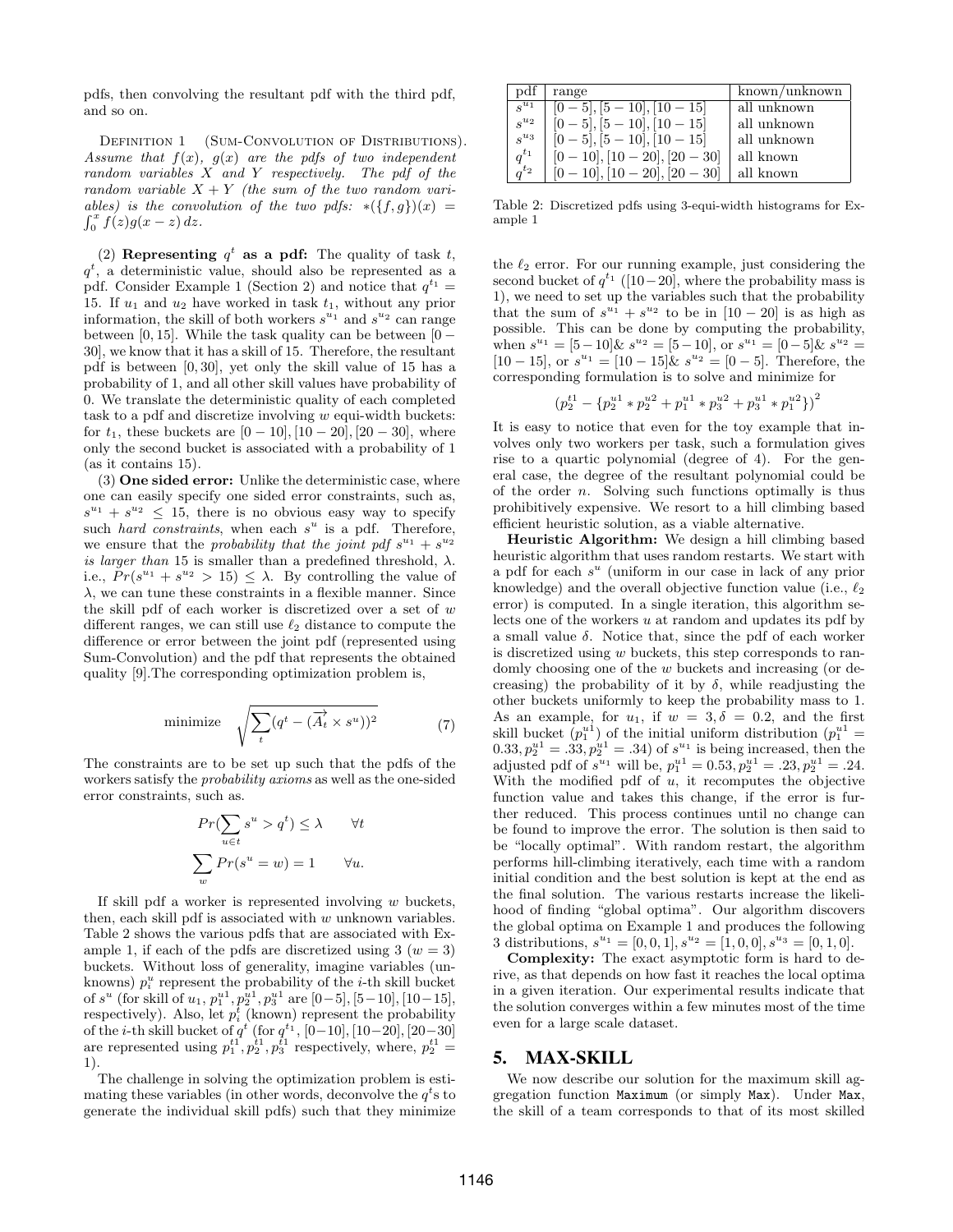pdfs, then convolving the resultant pdf with the third pdf, and so on.

DEFINITION 1 (SUM-CONVOLUTION OF DISTRIBUTIONS). Assume that  $f(x)$ ,  $g(x)$  are the pdfs of two independent random variables X and Y respectively. The pdf of the random variable  $X + Y$  (the sum of the two random vari- $\int_0^x f(z)g(x-z)\,dz.$ ables) is the convolution of the two pdfs:  $*(\{f, g\})(x) =$ 

(2) Representing  $q^t$  as a pdf: The quality of task t,  $q<sup>t</sup>$ , a deterministic value, should also be represented as a pdf. Consider Example 1 (Section 2) and notice that  $q^{t_1} =$ 15. If  $u_1$  and  $u_2$  have worked in task  $t_1$ , without any prior information, the skill of both workers  $s^{u_1}$  and  $s^{u_2}$  can range between  $[0, 15]$ . While the task quality can be between  $[0 -$ 30], we know that it has a skill of 15. Therefore, the resultant pdf is between [0, 30], yet only the skill value of 15 has a probability of 1, and all other skill values have probability of 0. We translate the deterministic quality of each completed task to a pdf and discretize involving  $w$  equi-width buckets: for  $t_1$ , these buckets are  $[0 - 10]$ ,  $[10 - 20]$ ,  $[20 - 30]$ , where only the second bucket is associated with a probability of 1 (as it contains 15).

(3) One sided error: Unlike the deterministic case, where one can easily specify one sided error constraints, such as,  $s^{u_1} + s^{u_2} \leq 15$ , there is no obvious easy way to specify such *hard constraints*, when each  $s^u$  is a pdf. Therefore, we ensure that the *probability that the joint pdf*  $s^{u_1} + s^{u_2}$ is larger than 15 is smaller than a predefined threshold,  $\lambda$ . i.e.,  $Pr(s^{u_1} + s^{u_2} > 15) \leq \lambda$ . By controlling the value of  $\lambda$ , we can tune these constraints in a flexible manner. Since the skill pdf of each worker is discretized over a set of  $\boldsymbol{w}$ different ranges, we can still use  $\ell_2$  distance to compute the difference or error between the joint pdf (represented using Sum-Convolution) and the pdf that represents the obtained quality [9].The corresponding optimization problem is,

minimize 
$$
\sqrt{\sum_{t} (q^t - (\overrightarrow{A}_t \times s^u))^2}
$$
 (7)

The constraints are to be set up such that the pdfs of the workers satisfy the probability axioms as well as the one-sided error constraints, such as.

$$
Pr(\sum_{u \in t} s^u > q^t) \le \lambda \qquad \forall t
$$

$$
\sum_{w} Pr(s^u = w) = 1 \qquad \forall u.
$$

If skill pdf a worker is represented involving  $w$  buckets, then, each skill pdf is associated with  $w$  unknown variables. Table 2 shows the various pdfs that are associated with Example 1, if each of the pdfs are discretized using  $3 (w = 3)$ buckets. Without loss of generality, imagine variables (unknowns)  $p_i^u$  represent the probability of the *i*-th skill bucket of  $s^u$  (for skill of  $u_1, p_1^{u_1}, p_2^{u_1}, p_3^{u_1}$  are  $[0-5]$ ,  $[5-10]$ ,  $[10-15]$ , respectively). Also, let  $p_i^{\bar{t}}$  (known) represent the probability of the *i*-th skill bucket of  $q^t$  (for  $q^{t_1}$ , [0-10], [10-20], [20-30] are represented using  $p_1^{t_1}, p_2^{t_1}, p_3^{t_1}$  respectively, where,  $p_2^{t_1} =$ 1).

The challenge in solving the optimization problem is estimating these variables (in other words, deconvolve the  $q^t$ s to generate the individual skill pdfs) such that they minimize

| $\operatorname{pdf}$ | range                            | known/unknown |
|----------------------|----------------------------------|---------------|
| $s^{u_1}$            | $[0-5]$ , $[5-10]$ , $[10-15]$   | all unknown   |
| $s^{u_2}$            | $[0-5]$ , $[5-10]$ , $[10-15]$   | all unknown   |
| $s^{u_3}$            | $[0-5], [5-10], [10-15]$         | all unknown   |
| $a^{t_1}$            | $[0-10]$ , $[10-20]$ , $[20-30]$ | all known     |
| $a^{t_2}$            | $[0-10]$ , $[10-20]$ , $[20-30]$ | all known     |

Table 2: Discretized pdfs using 3-equi-width histograms for Example 1

the  $\ell_2$  error. For our running example, just considering the second bucket of  $q^{t_1}$  ([10−20], where the probability mass is 1), we need to set up the variables such that the probability that the sum of  $s^{u_1} + s^{u_2}$  to be in  $[10 - 20]$  is as high as possible. This can be done by computing the probability, when  $s^{u_1} = [5 - 10] \& s^{u_2} = [5 - 10]$ , or  $s^{u_1} = [0 - 5] \& s^{u_2} =$  $[10 - 15]$ , or  $s^{u_1} = [10 - 15] \& s^{u_2} = [0 - 5]$ . Therefore, the corresponding formulation is to solve and minimize for

$$
\big(p_2^{t1}-\{p_2^{u1}*p_2^{u2}+p_1^{u1}*p_3^{u2}+p_3^{u1}*p_1^{u2}\}\big)^2
$$

It is easy to notice that even for the toy example that involves only two workers per task, such a formulation gives rise to a quartic polynomial (degree of 4). For the general case, the degree of the resultant polynomial could be of the order  $n$ . Solving such functions optimally is thus prohibitively expensive. We resort to a hill climbing based efficient heuristic solution, as a viable alternative.

Heuristic Algorithm: We design a hill climbing based heuristic algorithm that uses random restarts. We start with a pdf for each  $s^u$  (uniform in our case in lack of any prior knowledge) and the overall objective function value (i.e.,  $\ell_2$ ) error) is computed. In a single iteration, this algorithm selects one of the workers  $u$  at random and updates its pdf by a small value  $\delta$ . Notice that, since the pdf of each worker is discretized using  $w$  buckets, this step corresponds to randomly choosing one of the w buckets and increasing (or decreasing) the probability of it by  $\delta$ , while readjusting the other buckets uniformly to keep the probability mass to 1. As an example, for  $u_1$ , if  $w = 3, \delta = 0.2$ , and the first skill bucket  $(p_1^{u_1})$  of the initial uniform distribution  $(p_1^{u_1})$  $(0.33, p_2^{u_1} = .33, p_2^{u_1} = .34)$  of  $s^{u_1}$  is being increased, then the adjusted pdf of  $s^{u_1}$  will be,  $p_1^{u_1} = 0.53, p_2^{u_1} = .23, p_2^{u_1} = .24$ . With the modified pdf of  $u$ , it recomputes the objective function value and takes this change, if the error is further reduced. This process continues until no change can be found to improve the error. The solution is then said to be "locally optimal". With random restart, the algorithm performs hill-climbing iteratively, each time with a random initial condition and the best solution is kept at the end as the final solution. The various restarts increase the likelihood of finding "global optima". Our algorithm discovers the global optima on Example 1 and produces the following 3 distributions,  $s^{u_1} = [0, 0, 1], s^{u_2} = [1, 0, 0], s^{u_3} = [0, 1, 0].$ 

Complexity: The exact asymptotic form is hard to derive, as that depends on how fast it reaches the local optima in a given iteration. Our experimental results indicate that the solution converges within a few minutes most of the time even for a large scale dataset.

## 5. MAX-SKILL

We now describe our solution for the maximum skill aggregation function Maximum (or simply Max). Under Max, the skill of a team corresponds to that of its most skilled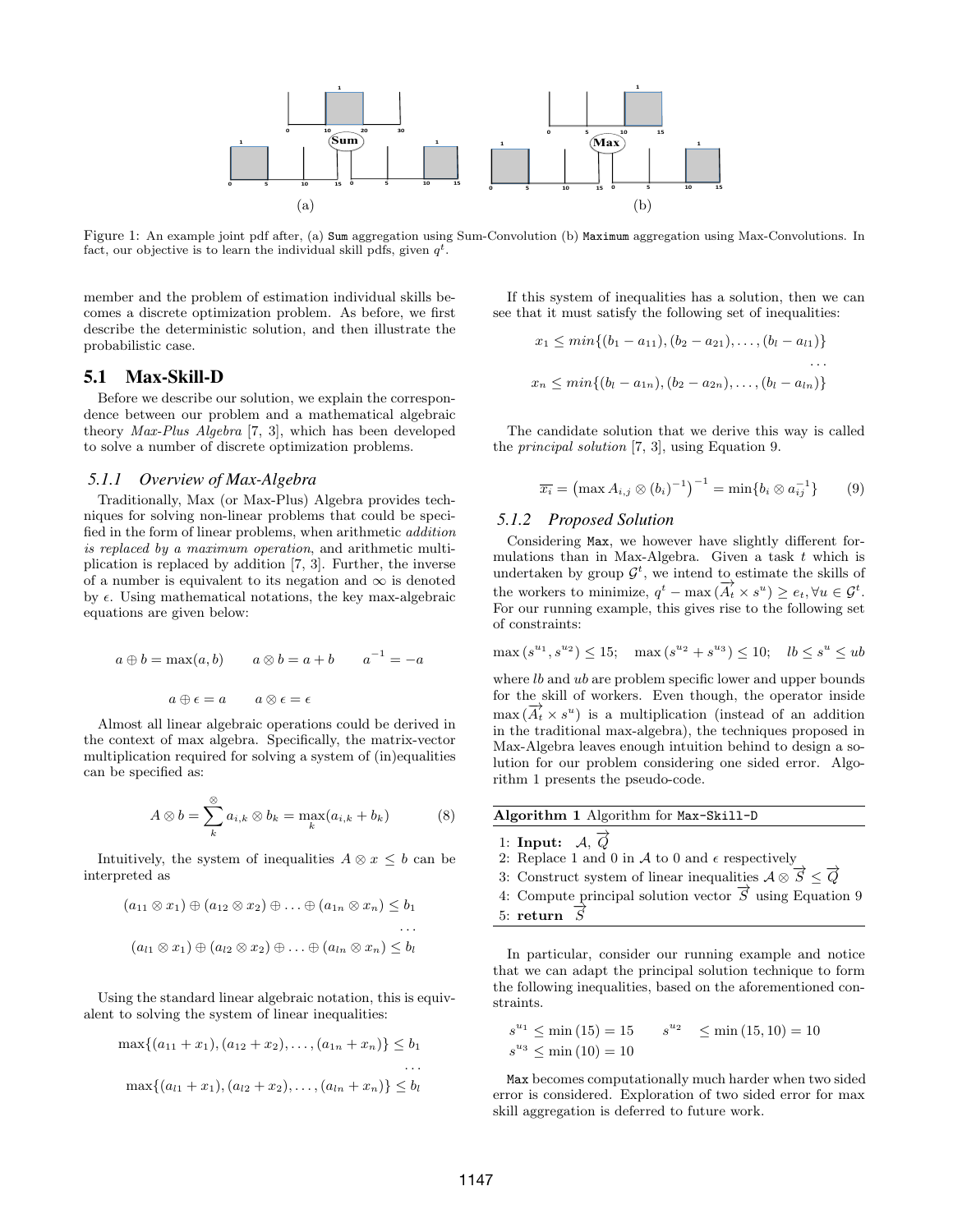

Figure 1: An example joint pdf after, (a) Sum aggregation using Sum-Convolution (b) Maximum aggregation using Max-Convolutions. In fact, our objective is to learn the individual skill pdfs, given  $q^t$ .

member and the problem of estimation individual skills becomes a discrete optimization problem. As before, we first describe the deterministic solution, and then illustrate the probabilistic case.

# 5.1 Max-Skill-D

Before we describe our solution, we explain the correspondence between our problem and a mathematical algebraic theory Max-Plus Algebra [7, 3], which has been developed to solve a number of discrete optimization problems.

## *5.1.1 Overview of Max-Algebra*

Traditionally, Max (or Max-Plus) Algebra provides techniques for solving non-linear problems that could be specified in the form of linear problems, when arithmetic addition is replaced by a maximum operation, and arithmetic multiplication is replaced by addition [7, 3]. Further, the inverse of a number is equivalent to its negation and  $\infty$  is denoted by  $\epsilon$ . Using mathematical notations, the key max-algebraic equations are given below:

$$
a \oplus b = \max(a, b)
$$
  $a \otimes b = a + b$   $a^{-1} = -a$   
 $a \oplus \epsilon = a$   $a \otimes \epsilon = \epsilon$ 

Almost all linear algebraic operations could be derived in the context of max algebra. Specifically, the matrix-vector multiplication required for solving a system of (in)equalities can be specified as:

$$
A \otimes b = \sum_{k}^{\otimes} a_{i,k} \otimes b_k = \max_{k} (a_{i,k} + b_k)
$$
 (8)

Intuitively, the system of inequalities  $A \otimes x \leq b$  can be interpreted as

$$
(a_{11} \otimes x_1) \oplus (a_{12} \otimes x_2) \oplus \ldots \oplus (a_{1n} \otimes x_n) \leq b_1
$$
  
...  

$$
(a_{l1} \otimes x_1) \oplus (a_{l2} \otimes x_2) \oplus \ldots \oplus (a_{ln} \otimes x_n) \leq b_l
$$

Using the standard linear algebraic notation, this is equivalent to solving the system of linear inequalities:

$$
\max\{(a_{11}+x_1), (a_{12}+x_2), \dots, (a_{1n}+x_n)\}\leq b_1
$$
  
 
$$
\dots
$$
  
 
$$
\max\{(a_{l1}+x_1), (a_{l2}+x_2), \dots, (a_{ln}+x_n)\}\leq b_l
$$

If this system of inequalities has a solution, then we can see that it must satisfy the following set of inequalities:

$$
x_1 \leq \min\{(b_1 - a_{11}), (b_2 - a_{21}), \dots, (b_l - a_{l1})\}
$$
  
...  

$$
x_n \leq \min\{(b_l - a_{1n}), (b_2 - a_{2n}), \dots, (b_l - a_{ln})\}
$$

The candidate solution that we derive this way is called the principal solution [7, 3], using Equation 9.

$$
\overline{x_i} = \left(\max A_{i,j} \otimes (b_i)^{-1}\right)^{-1} = \min\{b_i \otimes a_{ij}^{-1}\}\qquad(9)
$$

## *5.1.2 Proposed Solution*

Considering Max, we however have slightly different formulations than in Max-Algebra. Given a task  $t$  which is undertaken by group  $\mathcal{G}^t$ , we intend to estimate the skills of the workers to minimize,  $q^t$  – max  $(\overrightarrow{A}_t \times s^u) \geq e_t, \forall u \in \mathcal{G}^t$ . For our running example, this gives rise to the following set of constraints:

 $\max(s^{u_1}, s^{u_2}) \le 15; \quad \max(s^{u_2} + s^{u_3}) \le 10; \quad lb \le s^u \le ub$ 

where  $lb$  and  $ub$  are problem specific lower and upper bounds for the skill of workers. Even though, the operator inside  $\max(\overrightarrow{A_t} \times s^u)$  is a multiplication (instead of an addition in the traditional max-algebra), the techniques proposed in Max-Algebra leaves enough intuition behind to design a solution for our problem considering one sided error. Algorithm 1 presents the pseudo-code.

|  |  | Algorithm 1 Algorithm for Max-Skill-D |
|--|--|---------------------------------------|
|--|--|---------------------------------------|

1: Input:  $\mathcal{A}, \overrightarrow{Q}$ 

2: Replace 1 and 0 in  $\mathcal A$  to 0 and  $\epsilon$  respectively

- 3: Construct system of linear inequalities  $\mathcal{A} \otimes \overrightarrow{S} \leq \overrightarrow{Q}$
- 4: Compute principal solution vector  $\overrightarrow{S}$  using Equation 9  $\frac{5}{5}$ : return  $\overrightarrow{S}$

In particular, consider our running example and notice that we can adapt the principal solution technique to form the following inequalities, based on the aforementioned constraints.

$$
s^{u_1} \le \min(15) = 15 \qquad s^{u_2} \le \min(15, 10) = 10
$$
  

$$
s^{u_3} \le \min(10) = 10
$$

Max becomes computationally much harder when two sided error is considered. Exploration of two sided error for max skill aggregation is deferred to future work.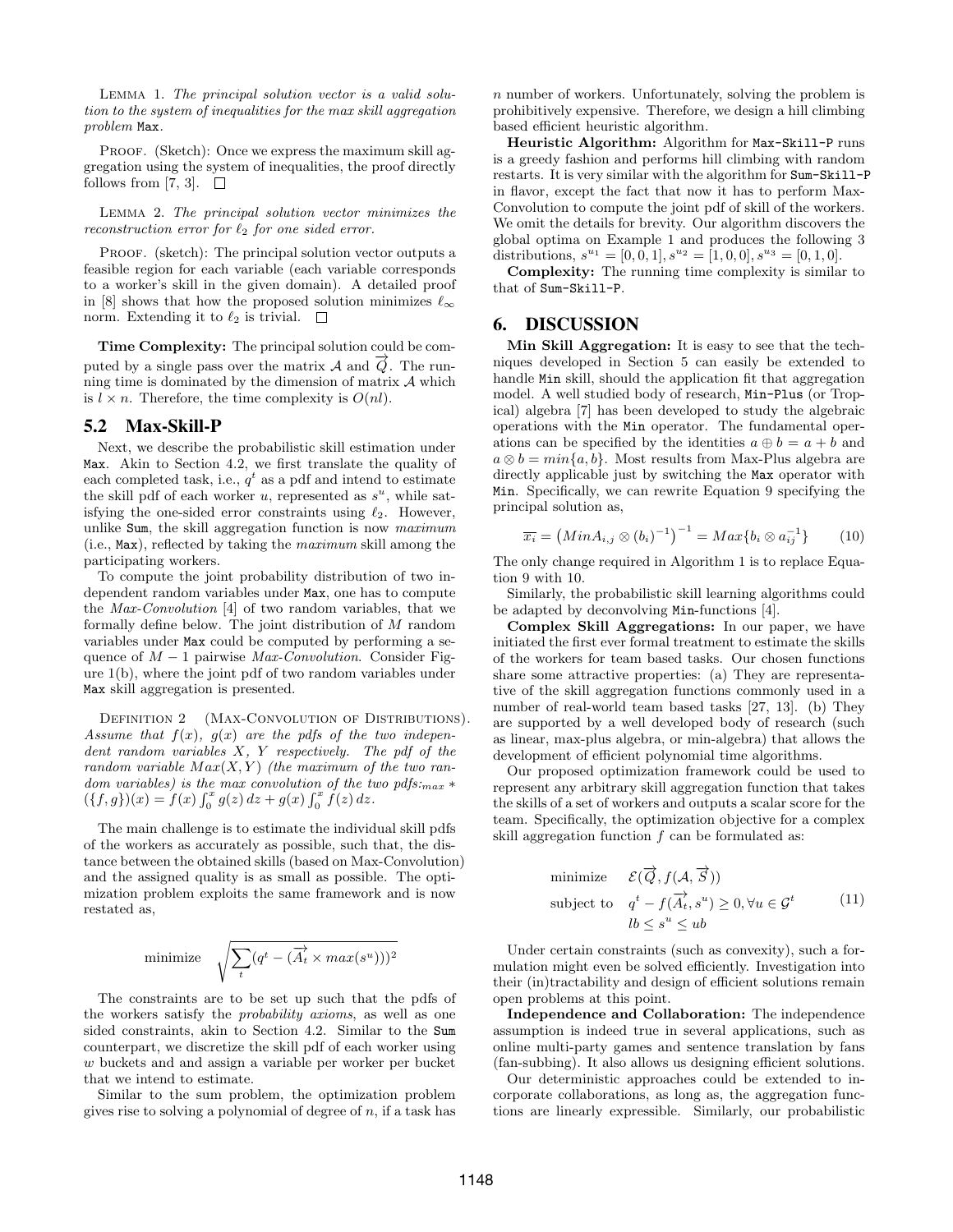Lemma 1. The principal solution vector is a valid solution to the system of inequalities for the max skill aggregation problem Max.

PROOF. (Sketch): Once we express the maximum skill aggregation using the system of inequalities, the proof directly follows from [7, 3].  $\square$ 

Lemma 2. The principal solution vector minimizes the reconstruction error for  $\ell_2$  for one sided error.

PROOF. (sketch): The principal solution vector outputs a feasible region for each variable (each variable corresponds to a worker's skill in the given domain). A detailed proof in [8] shows that how the proposed solution minimizes  $\ell_{\infty}$ norm. Extending it to  $\ell_2$  is trivial.  $\Box$ 

Time Complexity: The principal solution could be computed by a single pass over the matrix A and  $\overline{Q}$ . The running time is dominated by the dimension of matrix  $A$  which is  $l \times n$ . Therefore, the time complexity is  $O(nl)$ .

# 5.2 Max-Skill-P

Next, we describe the probabilistic skill estimation under Max. Akin to Section 4.2, we first translate the quality of each completed task, i.e.,  $q^t$  as a pdf and intend to estimate the skill pdf of each worker  $u$ , represented as  $s^u$ , while satisfying the one-sided error constraints using  $\ell_2$ . However, unlike Sum, the skill aggregation function is now maximum (i.e., Max), reflected by taking the maximum skill among the participating workers.

To compute the joint probability distribution of two independent random variables under Max, one has to compute the Max-Convolution [4] of two random variables, that we formally define below. The joint distribution of M random variables under Max could be computed by performing a sequence of  $M - 1$  pairwise Max-Convolution. Consider Figure 1(b), where the joint pdf of two random variables under Max skill aggregation is presented.

DEFINITION 2 (MAX-CONVOLUTION OF DISTRIBUTIONS). Assume that  $f(x)$ ,  $g(x)$  are the pdfs of the two independent random variables  $X$ ,  $Y$  respectively. The pdf of the random variable  $Max(X, Y)$  (the maximum of the two random variables) is the max convolution of the two pdfs: $_{max} *$  $(\{f,g\})(x) = f(x) \int_0^x g(z) dz + g(x) \int_0^x f(z) dz.$ 

The main challenge is to estimate the individual skill pdfs of the workers as accurately as possible, such that, the distance between the obtained skills (based on Max-Convolution) and the assigned quality is as small as possible. The optimization problem exploits the same framework and is now restated as,

minimize 
$$
\sqrt{\sum_{t} (q^t - (\overrightarrow{A_t} \times max(s^u)))^2}
$$

The constraints are to be set up such that the pdfs of the workers satisfy the probability axioms, as well as one sided constraints, akin to Section 4.2. Similar to the Sum counterpart, we discretize the skill pdf of each worker using w buckets and and assign a variable per worker per bucket that we intend to estimate.

Similar to the sum problem, the optimization problem gives rise to solving a polynomial of degree of  $n$ , if a task has n number of workers. Unfortunately, solving the problem is prohibitively expensive. Therefore, we design a hill climbing based efficient heuristic algorithm.

Heuristic Algorithm: Algorithm for Max-Skill-P runs is a greedy fashion and performs hill climbing with random restarts. It is very similar with the algorithm for Sum-Skill-P in flavor, except the fact that now it has to perform Max-Convolution to compute the joint pdf of skill of the workers. We omit the details for brevity. Our algorithm discovers the global optima on Example 1 and produces the following 3 distributions,  $s^{u_1} = [0, 0, 1], s^{u_2} = [1, 0, 0], s^{u_3} = [0, 1, 0].$ 

Complexity: The running time complexity is similar to that of Sum-Skill-P.

# 6. DISCUSSION

Min Skill Aggregation: It is easy to see that the techniques developed in Section 5 can easily be extended to handle Min skill, should the application fit that aggregation model. A well studied body of research, Min-Plus (or Tropical) algebra [7] has been developed to study the algebraic operations with the Min operator. The fundamental operations can be specified by the identities  $a \oplus b = a + b$  and  $a \otimes b = min\{a, b\}$ . Most results from Max-Plus algebra are directly applicable just by switching the Max operator with Min. Specifically, we can rewrite Equation 9 specifying the principal solution as,

$$
\overline{x_i} = \left( Min A_{i,j} \otimes (b_i)^{-1} \right)^{-1} = Max \{ b_i \otimes a_{ij}^{-1} \} \tag{10}
$$

The only change required in Algorithm 1 is to replace Equation 9 with 10.

Similarly, the probabilistic skill learning algorithms could be adapted by deconvolving Min-functions [4].

Complex Skill Aggregations: In our paper, we have initiated the first ever formal treatment to estimate the skills of the workers for team based tasks. Our chosen functions share some attractive properties: (a) They are representative of the skill aggregation functions commonly used in a number of real-world team based tasks [27, 13]. (b) They are supported by a well developed body of research (such as linear, max-plus algebra, or min-algebra) that allows the development of efficient polynomial time algorithms.

Our proposed optimization framework could be used to represent any arbitrary skill aggregation function that takes the skills of a set of workers and outputs a scalar score for the team. Specifically, the optimization objective for a complex skill aggregation function  $f$  can be formulated as:

minimize 
$$
\mathcal{E}(\overrightarrow{Q}, f(\mathcal{A}, \overrightarrow{S}))
$$
  
subject to  $q^t - f(\overrightarrow{A}_t, s^u) \ge 0, \forall u \in \mathcal{G}^t$  (11)  
 $lb \le s^u \le ub$ 

Under certain constraints (such as convexity), such a formulation might even be solved efficiently. Investigation into their (in)tractability and design of efficient solutions remain open problems at this point.

Independence and Collaboration: The independence assumption is indeed true in several applications, such as online multi-party games and sentence translation by fans (fan-subbing). It also allows us designing efficient solutions.

Our deterministic approaches could be extended to incorporate collaborations, as long as, the aggregation functions are linearly expressible. Similarly, our probabilistic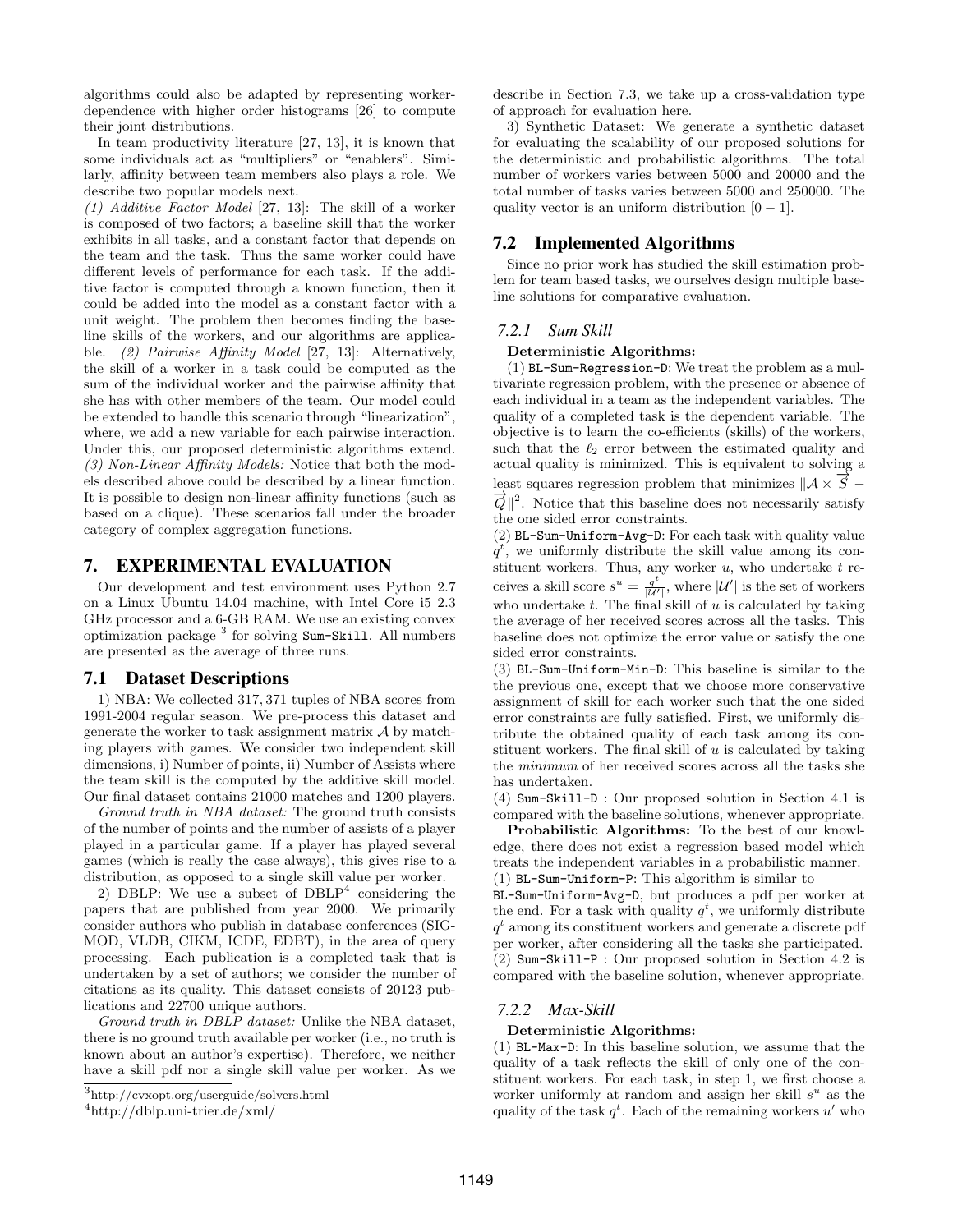algorithms could also be adapted by representing workerdependence with higher order histograms [26] to compute their joint distributions.

In team productivity literature [27, 13], it is known that some individuals act as "multipliers" or "enablers". Similarly, affinity between team members also plays a role. We describe two popular models next.

(1) Additive Factor Model [27, 13]: The skill of a worker is composed of two factors; a baseline skill that the worker exhibits in all tasks, and a constant factor that depends on the team and the task. Thus the same worker could have different levels of performance for each task. If the additive factor is computed through a known function, then it could be added into the model as a constant factor with a unit weight. The problem then becomes finding the baseline skills of the workers, and our algorithms are applicable. (2) Pairwise Affinity Model [27, 13]: Alternatively, the skill of a worker in a task could be computed as the sum of the individual worker and the pairwise affinity that she has with other members of the team. Our model could be extended to handle this scenario through "linearization", where, we add a new variable for each pairwise interaction. Under this, our proposed deterministic algorithms extend. (3) Non-Linear Affinity Models: Notice that both the models described above could be described by a linear function. It is possible to design non-linear affinity functions (such as based on a clique). These scenarios fall under the broader category of complex aggregation functions.

# 7. EXPERIMENTAL EVALUATION

Our development and test environment uses Python 2.7 on a Linux Ubuntu 14.04 machine, with Intel Core i5 2.3 GHz processor and a 6-GB RAM. We use an existing convex optimization package <sup>3</sup> for solving Sum-Skill. All numbers are presented as the average of three runs.

# 7.1 Dataset Descriptions

1) NBA: We collected 317, 371 tuples of NBA scores from 1991-2004 regular season. We pre-process this dataset and generate the worker to task assignment matrix  $A$  by matching players with games. We consider two independent skill dimensions, i) Number of points, ii) Number of Assists where the team skill is the computed by the additive skill model. Our final dataset contains 21000 matches and 1200 players.

Ground truth in NBA dataset: The ground truth consists of the number of points and the number of assists of a player played in a particular game. If a player has played several games (which is really the case always), this gives rise to a distribution, as opposed to a single skill value per worker.

2) DBLP: We use a subset of  $DBLP<sup>4</sup>$  considering the papers that are published from year 2000. We primarily consider authors who publish in database conferences (SIG-MOD, VLDB, CIKM, ICDE, EDBT), in the area of query processing. Each publication is a completed task that is undertaken by a set of authors; we consider the number of citations as its quality. This dataset consists of 20123 publications and 22700 unique authors.

Ground truth in DBLP dataset: Unlike the NBA dataset, there is no ground truth available per worker (i.e., no truth is known about an author's expertise). Therefore, we neither have a skill pdf nor a single skill value per worker. As we describe in Section 7.3, we take up a cross-validation type of approach for evaluation here.

3) Synthetic Dataset: We generate a synthetic dataset for evaluating the scalability of our proposed solutions for the deterministic and probabilistic algorithms. The total number of workers varies between 5000 and 20000 and the total number of tasks varies between 5000 and 250000. The quality vector is an uniform distribution  $[0 - 1]$ .

# 7.2 Implemented Algorithms

Since no prior work has studied the skill estimation problem for team based tasks, we ourselves design multiple baseline solutions for comparative evaluation.

# *7.2.1 Sum Skill*

# Deterministic Algorithms:

(1) BL-Sum-Regression-D: We treat the problem as a multivariate regression problem, with the presence or absence of each individual in a team as the independent variables. The quality of a completed task is the dependent variable. The objective is to learn the co-efficients (skills) of the workers, such that the  $\ell_2$  error between the estimated quality and actual quality is minimized. This is equivalent to solving a least squares regression problem that minimizes  $\mathcal{A} \times \overrightarrow{S}$  –  $\overline{Q}^{\parallel 2}$ . Notice that this baseline does not necessarily satisfy the one sided error constraints.

(2) BL-Sum-Uniform-Avg-D: For each task with quality value  $q<sup>t</sup>$ , we uniformly distribute the skill value among its constituent workers. Thus, any worker  $u$ , who undertake  $t$  receives a skill score  $s^u = \frac{q^t}{|\mathcal{U}'|}$ , where  $|\mathcal{U}'|$  is the set of workers who undertake t. The final skill of  $u$  is calculated by taking the average of her received scores across all the tasks. This baseline does not optimize the error value or satisfy the one sided error constraints.

(3) BL-Sum-Uniform-Min-D: This baseline is similar to the the previous one, except that we choose more conservative assignment of skill for each worker such that the one sided error constraints are fully satisfied. First, we uniformly distribute the obtained quality of each task among its constituent workers. The final skill of  $u$  is calculated by taking the minimum of her received scores across all the tasks she has undertaken.

(4) Sum-Skill-D : Our proposed solution in Section 4.1 is compared with the baseline solutions, whenever appropriate.

Probabilistic Algorithms: To the best of our knowledge, there does not exist a regression based model which treats the independent variables in a probabilistic manner. (1) BL-Sum-Uniform-P: This algorithm is similar to

BL-Sum-Uniform-Avg-D, but produces a pdf per worker at the end. For a task with quality  $q^t$ , we uniformly distribute  $q<sup>t</sup>$  among its constituent workers and generate a discrete pdf per worker, after considering all the tasks she participated. (2) Sum-Skill-P : Our proposed solution in Section 4.2 is compared with the baseline solution, whenever appropriate.

# *7.2.2 Max-Skill*

# Deterministic Algorithms:

(1) BL-Max-D: In this baseline solution, we assume that the quality of a task reflects the skill of only one of the constituent workers. For each task, in step 1, we first choose a worker uniformly at random and assign her skill  $s^u$  as the quality of the task  $q^t$ . Each of the remaining workers u' who

<sup>3</sup> http://cvxopt.org/userguide/solvers.html

<sup>4</sup>http://dblp.uni-trier.de/xml/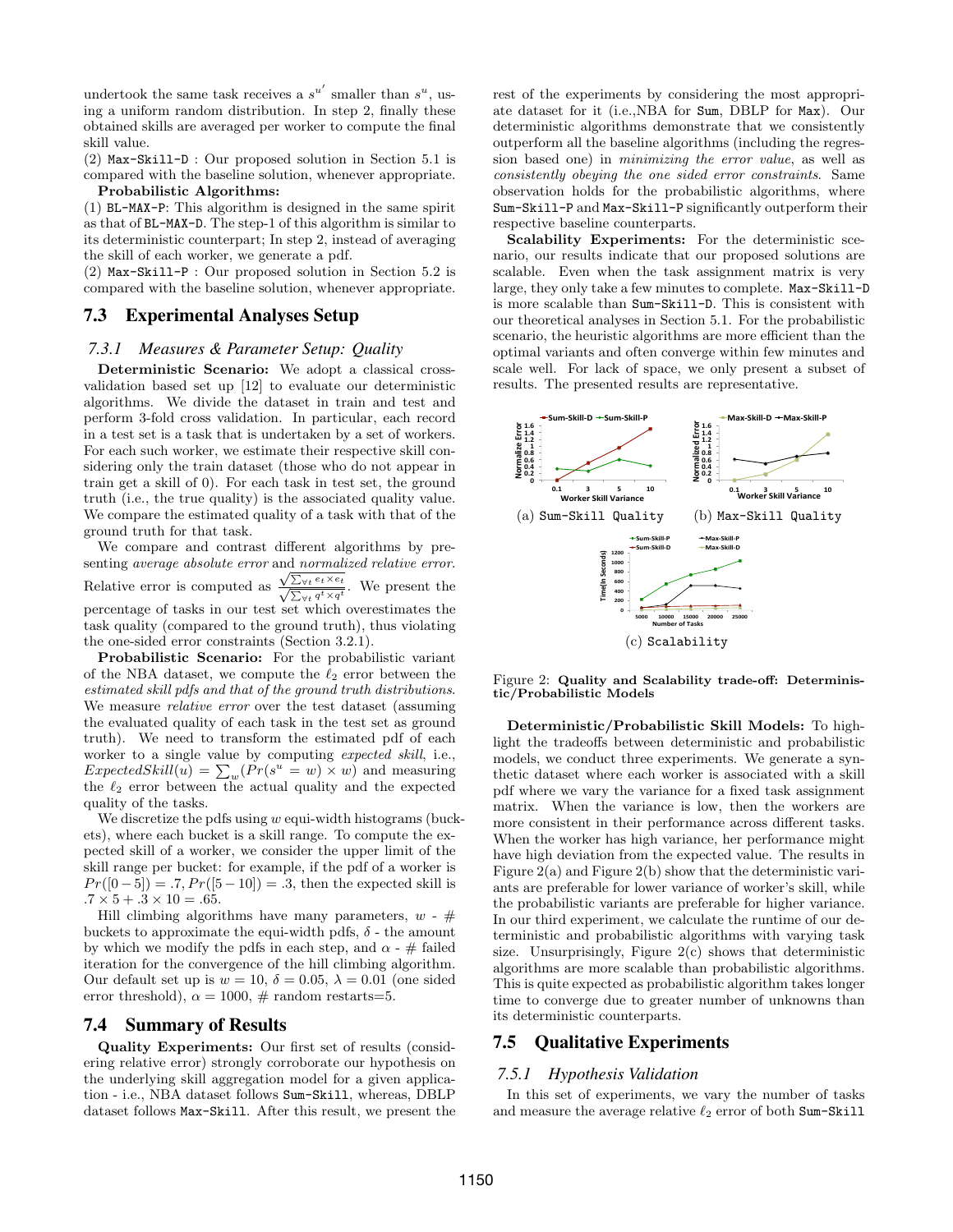undertook the same task receives a  $s^{u'}$  smaller than  $s^u$ , using a uniform random distribution. In step 2, finally these obtained skills are averaged per worker to compute the final skill value.

(2) Max-Skill-D : Our proposed solution in Section 5.1 is compared with the baseline solution, whenever appropriate. Probabilistic Algorithms:

(1) BL-MAX-P: This algorithm is designed in the same spirit as that of BL-MAX-D. The step-1 of this algorithm is similar to its deterministic counterpart; In step 2, instead of averaging the skill of each worker, we generate a pdf.

(2) Max-Skill-P : Our proposed solution in Section 5.2 is compared with the baseline solution, whenever appropriate.

# 7.3 Experimental Analyses Setup

## *7.3.1 Measures & Parameter Setup: Quality*

Deterministic Scenario: We adopt a classical crossvalidation based set up [12] to evaluate our deterministic algorithms. We divide the dataset in train and test and perform 3-fold cross validation. In particular, each record in a test set is a task that is undertaken by a set of workers. For each such worker, we estimate their respective skill considering only the train dataset (those who do not appear in train get a skill of 0). For each task in test set, the ground truth (i.e., the true quality) is the associated quality value. We compare the estimated quality of a task with that of the ground truth for that task.

We compare and contrast different algorithms by presenting average absolute error and normalized relative error. Senting *average assolute error* and *normal*<br>Relative error is computed as  $\frac{\sqrt{\sum_{\forall t} e_t \times e_t}}{\sqrt{\sum_{t} e_t \times e_t}}$  $\frac{\sum \forall t e^t \wedge e_t}{\sum_{\forall t} q^t \times q^t}$ . We present the percentage of tasks in our test set which overestimates the task quality (compared to the ground truth), thus violating the one-sided error constraints (Section 3.2.1).

Probabilistic Scenario: For the probabilistic variant of the NBA dataset, we compute the  $\ell_2$  error between the estimated skill pdfs and that of the ground truth distributions. We measure *relative error* over the test dataset (assuming the evaluated quality of each task in the test set as ground truth). We need to transform the estimated pdf of each worker to a single value by computing expected skill, i.e.,  $Expected Skill(u) = \sum_{w} (Pr(s^u = w) \times w)$  and measuring the  $\ell_2$  error between the actual quality and the expected quality of the tasks.

We discretize the pdfs using  $w$  equi-width histograms (buckets), where each bucket is a skill range. To compute the expected skill of a worker, we consider the upper limit of the skill range per bucket: for example, if the pdf of a worker is  $Pr([0-5]) = .7, Pr([5-10]) = .3$ , then the expected skill is  $.7 \times 5 + .3 \times 10 = .65.$ 

Hill climbing algorithms have many parameters,  $w - #$ buckets to approximate the equi-width pdfs,  $\delta$  - the amount by which we modify the pdfs in each step, and  $\alpha$  - # failed iteration for the convergence of the hill climbing algorithm. Our default set up is  $w = 10$ ,  $\delta = 0.05$ ,  $\lambda = 0.01$  (one sided error threshold),  $\alpha = 1000, \# \text{ random restarts=5.}$ 

# 7.4 Summary of Results

Quality Experiments: Our first set of results (considering relative error) strongly corroborate our hypothesis on the underlying skill aggregation model for a given application - i.e., NBA dataset follows Sum-Skill, whereas, DBLP dataset follows Max-Skill. After this result, we present the rest of the experiments by considering the most appropriate dataset for it (i.e.,NBA for Sum, DBLP for Max). Our deterministic algorithms demonstrate that we consistently outperform all the baseline algorithms (including the regression based one) in minimizing the error value, as well as consistently obeying the one sided error constraints. Same observation holds for the probabilistic algorithms, where Sum-Skill-P and Max-Skill-P significantly outperform their respective baseline counterparts.

Scalability Experiments: For the deterministic scenario, our results indicate that our proposed solutions are scalable. Even when the task assignment matrix is very large, they only take a few minutes to complete. Max-Skill-D is more scalable than Sum-Skill-D. This is consistent with our theoretical analyses in Section 5.1. For the probabilistic scenario, the heuristic algorithms are more efficient than the optimal variants and often converge within few minutes and scale well. For lack of space, we only present a subset of results. The presented results are representative.



Figure 2: Quality and Scalability trade-off: Deterministic/Probabilistic Models

Deterministic/Probabilistic Skill Models: To highlight the tradeoffs between deterministic and probabilistic models, we conduct three experiments. We generate a synthetic dataset where each worker is associated with a skill pdf where we vary the variance for a fixed task assignment matrix. When the variance is low, then the workers are more consistent in their performance across different tasks. When the worker has high variance, her performance might have high deviation from the expected value. The results in Figure 2(a) and Figure 2(b) show that the deterministic variants are preferable for lower variance of worker's skill, while the probabilistic variants are preferable for higher variance. In our third experiment, we calculate the runtime of our deterministic and probabilistic algorithms with varying task size. Unsurprisingly, Figure  $2(c)$  shows that deterministic algorithms are more scalable than probabilistic algorithms. This is quite expected as probabilistic algorithm takes longer time to converge due to greater number of unknowns than its deterministic counterparts.

# 7.5 Qualitative Experiments

#### *7.5.1 Hypothesis Validation*

In this set of experiments, we vary the number of tasks and measure the average relative  $\ell_2$  error of both Sum-Skill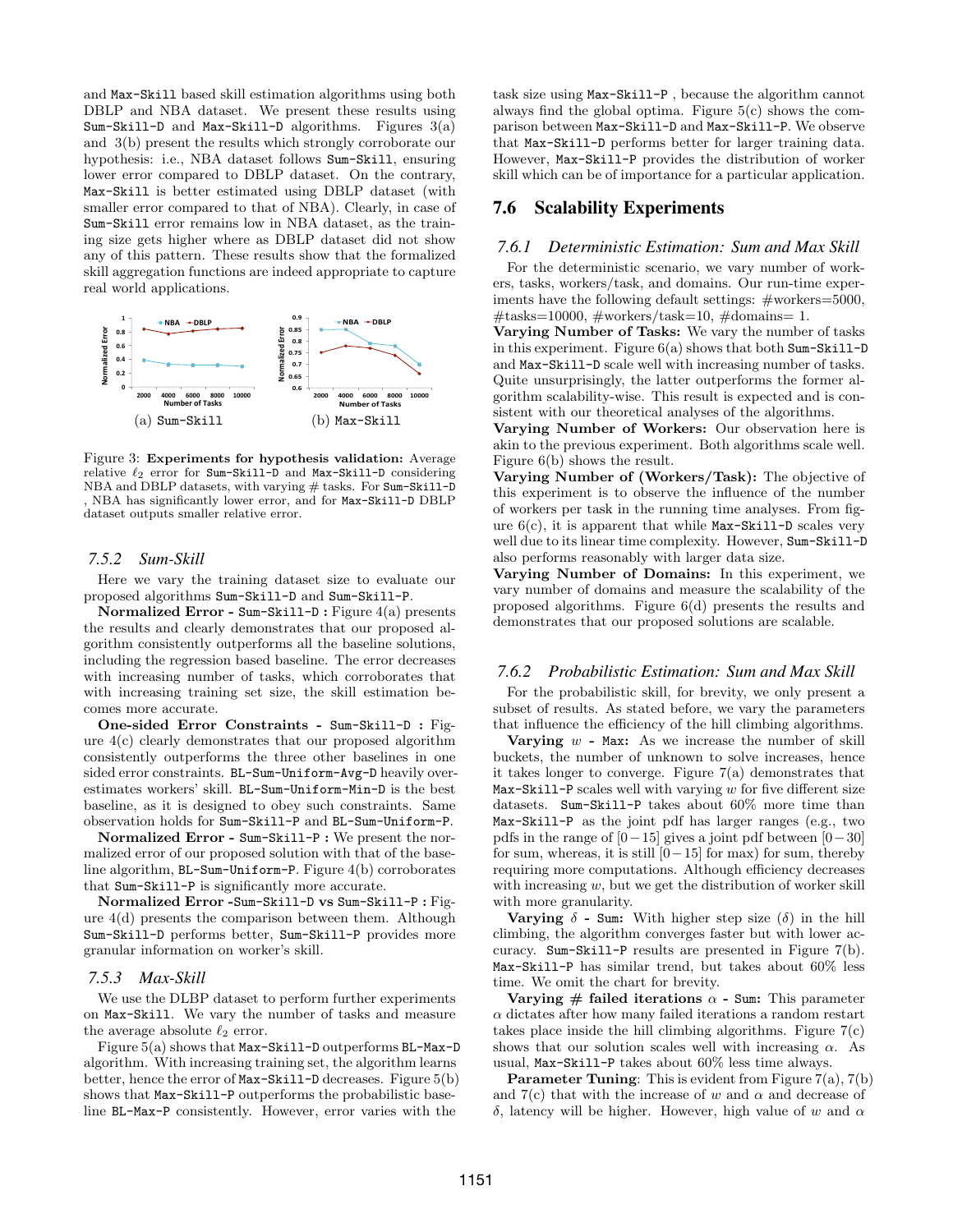and Max-Skill based skill estimation algorithms using both DBLP and NBA dataset. We present these results using Sum-Skill-D and Max-Skill-D algorithms. Figures 3(a) and 3(b) present the results which strongly corroborate our hypothesis: i.e., NBA dataset follows Sum-Skill, ensuring lower error compared to DBLP dataset. On the contrary, Max-Skill is better estimated using DBLP dataset (with smaller error compared to that of NBA). Clearly, in case of Sum-Skill error remains low in NBA dataset, as the training size gets higher where as DBLP dataset did not show any of this pattern. These results show that the formalized skill aggregation functions are indeed appropriate to capture real world applications.



Figure 3: Experiments for hypothesis validation: Average relative  $\ell_2$  error for Sum-Skill-D and Max-Skill-D considering  $\operatorname{NBA}$  and  $\operatorname{DBLP}$  datasets, with varying  $\#$  tasks. For  $\texttt{Sum-Skill-D}$ NBA has significantly lower error, and for Max-Skill-D DBLP dataset outputs smaller relative error.

#### *7.5.2 Sum-Skill*

Here we vary the training dataset size to evaluate our proposed algorithms Sum-Skill-D and Sum-Skill-P.

Normalized Error - Sum-Skill-D : Figure  $4(a)$  presents the results and clearly demonstrates that our proposed algorithm consistently outperforms all the baseline solutions, including the regression based baseline. The error decreases with increasing number of tasks, which corroborates that with increasing training set size, the skill estimation becomes more accurate.

One-sided Error Constraints - Sum-Skill-D : Figure 4(c) clearly demonstrates that our proposed algorithm consistently outperforms the three other baselines in one sided error constraints. BL-Sum-Uniform-Avg-D heavily overestimates workers' skill. BL-Sum-Uniform-Min-D is the best baseline, as it is designed to obey such constraints. Same observation holds for Sum-Skill-P and BL-Sum-Uniform-P.

Normalized Error - Sum-Skill-P : We present the normalized error of our proposed solution with that of the baseline algorithm, BL-Sum-Uniform-P. Figure 4(b) corroborates that Sum-Skill-P is significantly more accurate.

Normalized Error -Sum-Skill-D vs Sum-Skill-P : Figure 4(d) presents the comparison between them. Although Sum-Skill-D performs better, Sum-Skill-P provides more granular information on worker's skill.

#### *7.5.3 Max-Skill*

We use the DLBP dataset to perform further experiments on Max-Skill. We vary the number of tasks and measure the average absolute  $\ell_2$  error.

Figure 5(a) shows that Max-Skill-D outperforms BL-Max-D algorithm. With increasing training set, the algorithm learns better, hence the error of Max-Skill-D decreases. Figure 5(b) shows that Max-Skill-P outperforms the probabilistic baseline BL-Max-P consistently. However, error varies with the

task size using Max-Skill-P , because the algorithm cannot always find the global optima. Figure  $5(c)$  shows the comparison between Max-Skill-D and Max-Skill-P. We observe that Max-Skill-D performs better for larger training data. However, Max-Skill-P provides the distribution of worker skill which can be of importance for a particular application.

## 7.6 Scalability Experiments

## *7.6.1 Deterministic Estimation: Sum and Max Skill*

For the deterministic scenario, we vary number of workers, tasks, workers/task, and domains. Our run-time experiments have the following default settings:  $\#$ workers=5000,  $\#$ tasks=10000,  $\#$ workers/task=10,  $\#$ domains= 1.

Varying Number of Tasks: We vary the number of tasks in this experiment. Figure  $6(a)$  shows that both Sum-Skill-D and Max-Skill-D scale well with increasing number of tasks. Quite unsurprisingly, the latter outperforms the former algorithm scalability-wise. This result is expected and is consistent with our theoretical analyses of the algorithms.

Varying Number of Workers: Our observation here is akin to the previous experiment. Both algorithms scale well. Figure 6(b) shows the result.

Varying Number of (Workers/Task): The objective of this experiment is to observe the influence of the number of workers per task in the running time analyses. From figure  $6(c)$ , it is apparent that while Max-Skill-D scales very well due to its linear time complexity. However, Sum-Skill-D also performs reasonably with larger data size.

Varying Number of Domains: In this experiment, we vary number of domains and measure the scalability of the proposed algorithms. Figure 6(d) presents the results and demonstrates that our proposed solutions are scalable.

#### *7.6.2 Probabilistic Estimation: Sum and Max Skill*

For the probabilistic skill, for brevity, we only present a subset of results. As stated before, we vary the parameters that influence the efficiency of the hill climbing algorithms.

Varying  $w$  - Max: As we increase the number of skill buckets, the number of unknown to solve increases, hence it takes longer to converge. Figure 7(a) demonstrates that  $Max-Skill-P scales$  well with varying  $w$  for five different size datasets. Sum-Skill-P takes about 60% more time than Max-Skill-P as the joint pdf has larger ranges (e.g., two pdfs in the range of  $[0−15]$  gives a joint pdf between  $[0-30]$ for sum, whereas, it is still  $[0-15]$  for max) for sum, thereby requiring more computations. Although efficiency decreases with increasing  $w$ , but we get the distribution of worker skill with more granularity.

**Varying**  $\delta$  **- Sum:** With higher step size  $(\delta)$  in the hill climbing, the algorithm converges faster but with lower accuracy. Sum-Skill-P results are presented in Figure 7(b). Max-Skill-P has similar trend, but takes about 60% less time. We omit the chart for brevity.

Varying  $#$  failed iterations  $\alpha$  - Sum: This parameter  $\alpha$  dictates after how many failed iterations a random restart takes place inside the hill climbing algorithms. Figure  $7(c)$ shows that our solution scales well with increasing  $\alpha$ . As usual, Max-Skill-P takes about 60% less time always.

**Parameter Tuning:** This is evident from Figure  $7(a)$ ,  $7(b)$ and  $7(c)$  that with the increase of w and  $\alpha$  and decrease of δ, latency will be higher. However, high value of w and  $\alpha$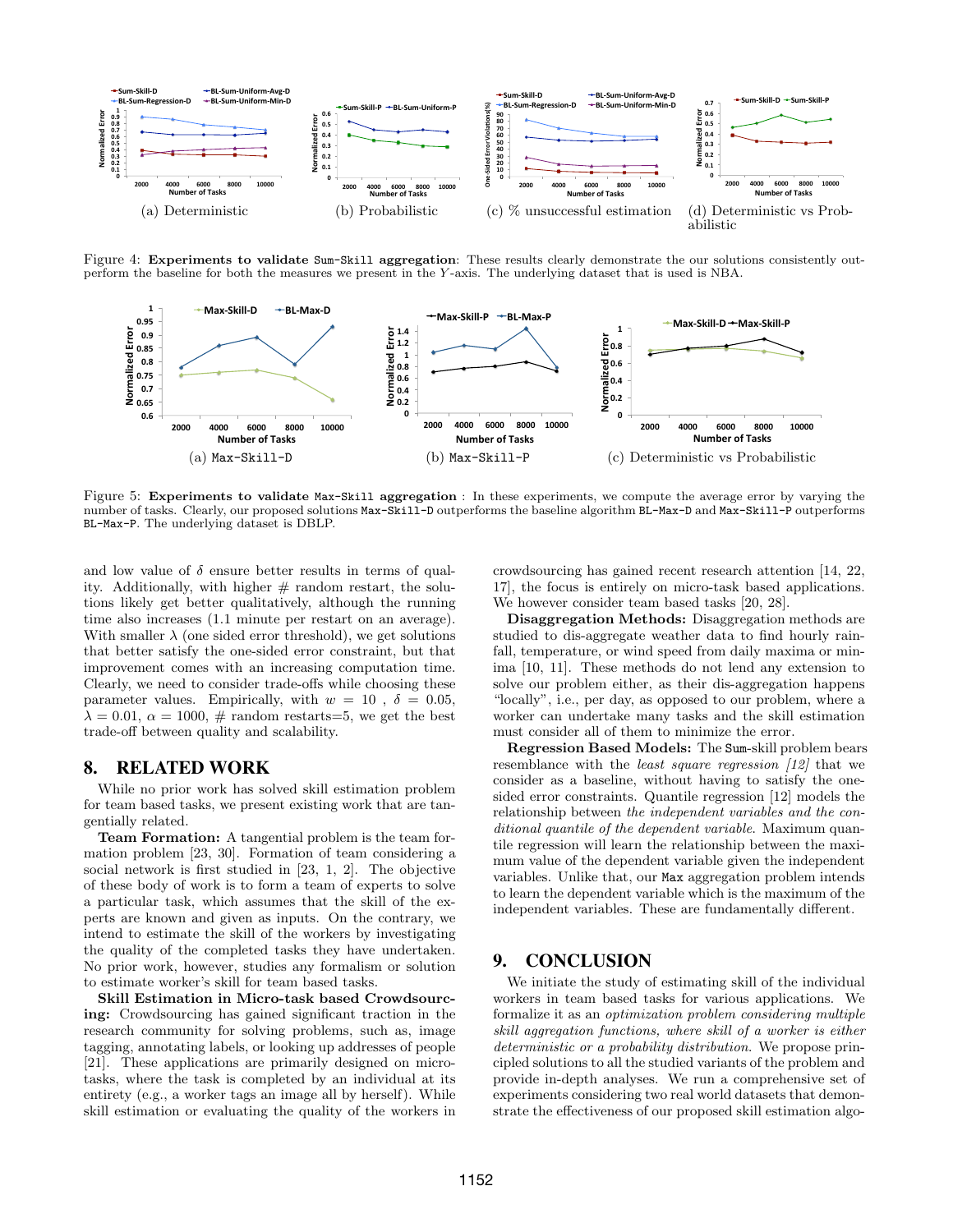

Figure 4: Experiments to validate Sum-Skill aggregation: These results clearly demonstrate the our solutions consistently outperform the baseline for both the measures we present in the Y -axis. The underlying dataset that is used is NBA.



Figure 5: Experiments to validate Max-Skill aggregation : In these experiments, we compute the average error by varying the number of tasks. Clearly, our proposed solutions Max-Skill-D outperforms the baseline algorithm BL-Max-D and Max-Skill-P outperforms BL-Max-P. The underlying dataset is DBLP.

and low value of  $\delta$  ensure better results in terms of quality. Additionally, with higher  $#$  random restart, the solutions likely get better qualitatively, although the running time also increases (1.1 minute per restart on an average). With smaller  $\lambda$  (one sided error threshold), we get solutions that better satisfy the one-sided error constraint, but that improvement comes with an increasing computation time. Clearly, we need to consider trade-offs while choosing these parameter values. Empirically, with  $w = 10$ ,  $\delta = 0.05$ ,  $\lambda = 0.01, \ \alpha = 1000, \ \# \ \text{random restarts=5}, \ \text{we get the best}$ trade-off between quality and scalability.

## 8. RELATED WORK

While no prior work has solved skill estimation problem for team based tasks, we present existing work that are tangentially related.

Team Formation: A tangential problem is the team formation problem [23, 30]. Formation of team considering a social network is first studied in [23, 1, 2]. The objective of these body of work is to form a team of experts to solve a particular task, which assumes that the skill of the experts are known and given as inputs. On the contrary, we intend to estimate the skill of the workers by investigating the quality of the completed tasks they have undertaken. No prior work, however, studies any formalism or solution to estimate worker's skill for team based tasks.

Skill Estimation in Micro-task based Crowdsourcing: Crowdsourcing has gained significant traction in the research community for solving problems, such as, image tagging, annotating labels, or looking up addresses of people [21]. These applications are primarily designed on microtasks, where the task is completed by an individual at its entirety (e.g., a worker tags an image all by herself). While skill estimation or evaluating the quality of the workers in crowdsourcing has gained recent research attention [14, 22, 17], the focus is entirely on micro-task based applications. We however consider team based tasks [20, 28].

Disaggregation Methods: Disaggregation methods are studied to dis-aggregate weather data to find hourly rainfall, temperature, or wind speed from daily maxima or minima [10, 11]. These methods do not lend any extension to solve our problem either, as their dis-aggregation happens "locally", i.e., per day, as opposed to our problem, where a worker can undertake many tasks and the skill estimation must consider all of them to minimize the error.

Regression Based Models: The Sum-skill problem bears resemblance with the *least square regression* [12] that we consider as a baseline, without having to satisfy the onesided error constraints. Quantile regression [12] models the relationship between the independent variables and the conditional quantile of the dependent variable. Maximum quantile regression will learn the relationship between the maximum value of the dependent variable given the independent variables. Unlike that, our Max aggregation problem intends to learn the dependent variable which is the maximum of the independent variables. These are fundamentally different.

# 9. CONCLUSION

We initiate the study of estimating skill of the individual workers in team based tasks for various applications. We formalize it as an optimization problem considering multiple skill aggregation functions, where skill of a worker is either deterministic or a probability distribution. We propose principled solutions to all the studied variants of the problem and provide in-depth analyses. We run a comprehensive set of experiments considering two real world datasets that demonstrate the effectiveness of our proposed skill estimation algo-